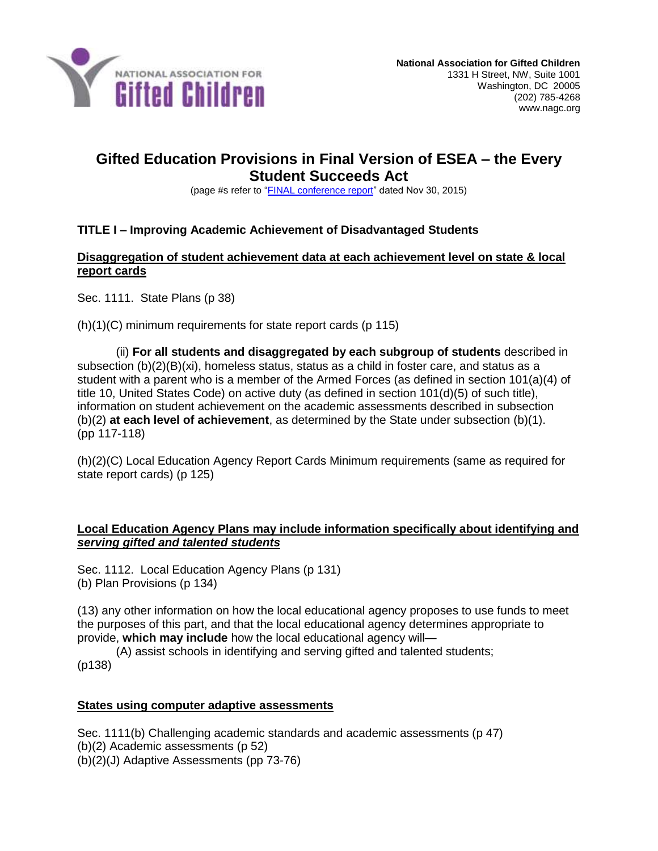

# **Gifted Education Provisions in Final Version of ESEA – the Every Student Succeeds Act**

(page #s refer to ["FINAL conference report"](https://nagc.sharepoint.com/_layouts/15/guestaccess.aspx?guestaccesstoken=ICkCTcbDvemYtR77sHewN%2fFsPeYu77c%2bX0%2bUIpFM3Mw%3d&docid=04beba2e814ef4b39bd65930e1ac3dc4c) dated Nov 30, 2015)

# **TITLE I – Improving Academic Achievement of Disadvantaged Students**

#### **Disaggregation of student achievement data at each achievement level on state & local report cards**

Sec. 1111. State Plans (p 38)

(h)(1)(C) minimum requirements for state report cards (p 115)

(ii) **For all students and disaggregated by each subgroup of students** described in subsection (b)(2)(B)(xi), homeless status, status as a child in foster care, and status as a student with a parent who is a member of the Armed Forces (as defined in section 101(a)(4) of title 10, United States Code) on active duty (as defined in section 101(d)(5) of such title), information on student achievement on the academic assessments described in subsection (b)(2) **at each level of achievement**, as determined by the State under subsection (b)(1). (pp 117-118)

(h)(2)(C) Local Education Agency Report Cards Minimum requirements (same as required for state report cards) (p 125)

#### **Local Education Agency Plans may include information specifically about identifying and**  *serving gifted and talented students*

Sec. 1112. Local Education Agency Plans (p 131) (b) Plan Provisions (p 134)

(13) any other information on how the local educational agency proposes to use funds to meet the purposes of this part, and that the local educational agency determines appropriate to provide, **which may include** how the local educational agency will—

(A) assist schools in identifying and serving gifted and talented students; (p138)

#### **States using computer adaptive assessments**

Sec. 1111(b) Challenging academic standards and academic assessments (p 47) (b)(2) Academic assessments (p 52) (b)(2)(J) Adaptive Assessments (pp 73-76)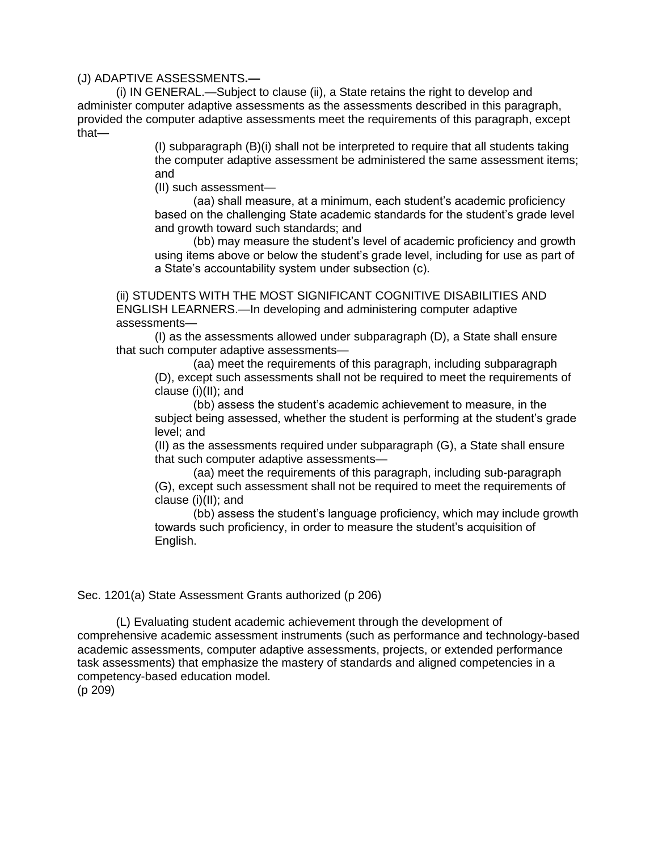#### (J) ADAPTIVE ASSESSMENTS**.—**

(i) IN GENERAL.—Subject to clause (ii), a State retains the right to develop and administer computer adaptive assessments as the assessments described in this paragraph, provided the computer adaptive assessments meet the requirements of this paragraph, except that—

> (I) subparagraph (B)(i) shall not be interpreted to require that all students taking the computer adaptive assessment be administered the same assessment items; and

(II) such assessment—

(aa) shall measure, at a minimum, each student's academic proficiency based on the challenging State academic standards for the student's grade level and growth toward such standards; and

(bb) may measure the student's level of academic proficiency and growth using items above or below the student's grade level, including for use as part of a State's accountability system under subsection (c).

(ii) STUDENTS WITH THE MOST SIGNIFICANT COGNITIVE DISABILITIES AND ENGLISH LEARNERS.—In developing and administering computer adaptive assessments—

(I) as the assessments allowed under subparagraph (D), a State shall ensure that such computer adaptive assessments—

(aa) meet the requirements of this paragraph, including subparagraph (D), except such assessments shall not be required to meet the requirements of clause (i)(II); and

(bb) assess the student's academic achievement to measure, in the subject being assessed, whether the student is performing at the student's grade level; and

(II) as the assessments required under subparagraph (G), a State shall ensure that such computer adaptive assessments—

(aa) meet the requirements of this paragraph, including sub-paragraph (G), except such assessment shall not be required to meet the requirements of clause (i)(II); and

(bb) assess the student's language proficiency, which may include growth towards such proficiency, in order to measure the student's acquisition of English.

#### Sec. 1201(a) State Assessment Grants authorized (p 206)

(L) Evaluating student academic achievement through the development of comprehensive academic assessment instruments (such as performance and technology-based academic assessments, computer adaptive assessments, projects, or extended performance task assessments) that emphasize the mastery of standards and aligned competencies in a competency-based education model.

(p 209)